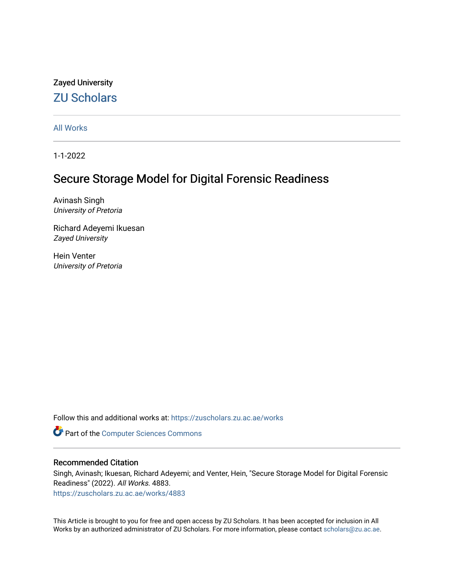# Zayed University [ZU Scholars](https://zuscholars.zu.ac.ae/)

[All Works](https://zuscholars.zu.ac.ae/works)

1-1-2022

# Secure Storage Model for Digital Forensic Readiness

Avinash Singh University of Pretoria

Richard Adeyemi Ikuesan Zayed University

Hein Venter University of Pretoria

Follow this and additional works at: [https://zuscholars.zu.ac.ae/works](https://zuscholars.zu.ac.ae/works?utm_source=zuscholars.zu.ac.ae%2Fworks%2F4883&utm_medium=PDF&utm_campaign=PDFCoverPages)

Part of the [Computer Sciences Commons](http://network.bepress.com/hgg/discipline/142?utm_source=zuscholars.zu.ac.ae%2Fworks%2F4883&utm_medium=PDF&utm_campaign=PDFCoverPages)

# Recommended Citation

Singh, Avinash; Ikuesan, Richard Adeyemi; and Venter, Hein, "Secure Storage Model for Digital Forensic Readiness" (2022). All Works. 4883.

[https://zuscholars.zu.ac.ae/works/4883](https://zuscholars.zu.ac.ae/works/4883?utm_source=zuscholars.zu.ac.ae%2Fworks%2F4883&utm_medium=PDF&utm_campaign=PDFCoverPages)

This Article is brought to you for free and open access by ZU Scholars. It has been accepted for inclusion in All Works by an authorized administrator of ZU Scholars. For more information, please contact [scholars@zu.ac.ae](mailto:scholars@zu.ac.ae).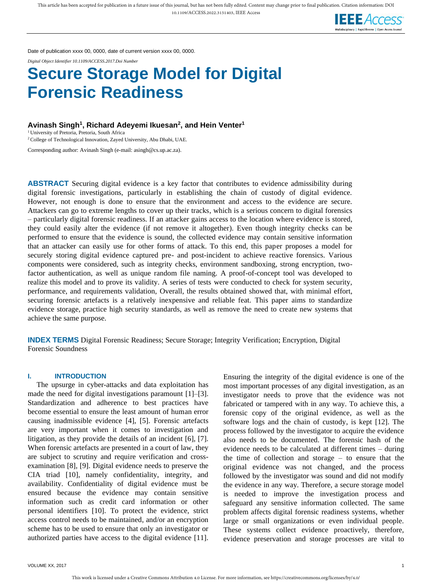

Date of publication xxxx 00, 0000, date of current version xxxx 00, 0000.

*Digital Object Identifier 10.1109/ACCESS.2017.Doi Number*

# **Secure Storage Model for Digital Forensic Readiness**

**Avinash Singh<sup>1</sup> , Richard Adeyemi Ikuesan<sup>2</sup> , and Hein Venter<sup>1</sup>**

<sup>1</sup> University of Pretoria, Pretoria, South Africa

<sup>2</sup> College of Technological Innovation, Zayed University, Abu Dhabi, UAE.

Corresponding author: Avinash Singh (e-mail: asingh@cs.up.ac.za).

**ABSTRACT** Securing digital evidence is a key factor that contributes to evidence admissibility during digital forensic investigations, particularly in establishing the chain of custody of digital evidence. However, not enough is done to ensure that the environment and access to the evidence are secure. Attackers can go to extreme lengths to cover up their tracks, which is a serious concern to digital forensics – particularly digital forensic readiness. If an attacker gains access to the location where evidence is stored, they could easily alter the evidence (if not remove it altogether). Even though integrity checks can be performed to ensure that the evidence is sound, the collected evidence may contain sensitive information that an attacker can easily use for other forms of attack. To this end, this paper proposes a model for securely storing digital evidence captured pre- and post-incident to achieve reactive forensics. Various components were considered, such as integrity checks, environment sandboxing, strong encryption, twofactor authentication, as well as unique random file naming. A proof-of-concept tool was developed to realize this model and to prove its validity. A series of tests were conducted to check for system security, performance, and requirements validation, Overall, the results obtained showed that, with minimal effort, securing forensic artefacts is a relatively inexpensive and reliable feat. This paper aims to standardize evidence storage, practice high security standards, as well as remove the need to create new systems that achieve the same purpose.

**INDEX TERMS** Digital Forensic Readiness; Secure Storage; Integrity Verification; Encryption, Digital Forensic Soundness

#### **I. INTRODUCTION**

The upsurge in cyber-attacks and data exploitation has made the need for digital investigations paramount [1]–[3]. Standardization and adherence to best practices have become essential to ensure the least amount of human error causing inadmissible evidence [4], [5]. Forensic artefacts are very important when it comes to investigation and litigation, as they provide the details of an incident [6], [7]. When forensic artefacts are presented in a court of law, they are subject to scrutiny and require verification and crossexamination [8], [9]. Digital evidence needs to preserve the CIA triad [10], namely confidentiality, integrity, and availability. Confidentiality of digital evidence must be ensured because the evidence may contain sensitive information such as credit card information or other personal identifiers [10]. To protect the evidence, strict access control needs to be maintained, and/or an encryption scheme has to be used to ensure that only an investigator or authorized parties have access to the digital evidence [11].

Ensuring the integrity of the digital evidence is one of the most important processes of any digital investigation, as an investigator needs to prove that the evidence was not fabricated or tampered with in any way. To achieve this, a forensic copy of the original evidence, as well as the software logs and the chain of custody, is kept [12]. The process followed by the investigator to acquire the evidence also needs to be documented. The forensic hash of the evidence needs to be calculated at different times – during the time of collection and storage – to ensure that the original evidence was not changed, and the process followed by the investigator was sound and did not modify the evidence in any way. Therefore, a secure storage model is needed to improve the investigation process and safeguard any sensitive information collected. The same problem affects digital forensic readiness systems, whether large or small organizations or even individual people. These systems collect evidence proactively, therefore, evidence preservation and storage processes are vital to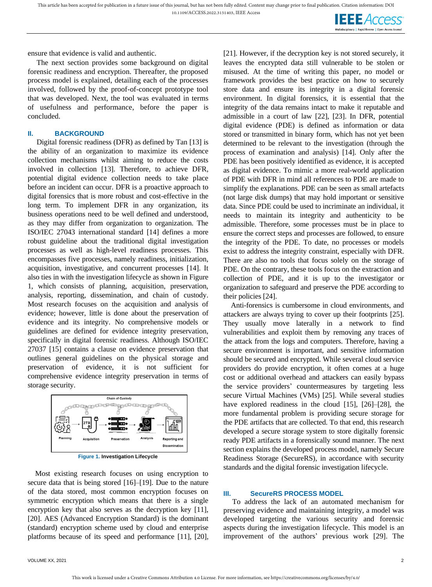

ensure that evidence is valid and authentic.

The next section provides some background on digital forensic readiness and encryption. Thereafter, the proposed process model is explained, detailing each of the processes involved, followed by the proof-of-concept prototype tool that was developed. Next, the tool was evaluated in terms of usefulness and performance, before the paper is concluded.

#### **II. BACKGROUND**

Digital forensic readiness (DFR) as defined by Tan [13] is the ability of an organization to maximize its evidence collection mechanisms whilst aiming to reduce the costs involved in collection [13]. Therefore, to achieve DFR, potential digital evidence collection needs to take place before an incident can occur. DFR is a proactive approach to digital forensics that is more robust and cost-effective in the long term. To implement DFR in any organization, its business operations need to be well defined and understood, as they may differ from organization to organization. The ISO/IEC 27043 international standard [14] defines a more robust guideline about the traditional digital investigation processes as well as high-level readiness processes. This encompasses five processes, namely readiness, initialization, acquisition, investigative, and concurrent processes [14]. It also ties in with the investigation lifecycle as shown in Figure 1, which consists of planning, acquisition, preservation, analysis, reporting, dissemination, and chain of custody. Most research focuses on the acquisition and analysis of evidence; however, little is done about the preservation of evidence and its integrity. No comprehensive models or guidelines are defined for evidence integrity preservation, specifically in digital forensic readiness. Although ISO/IEC 27037 [15] contains a clause on evidence preservation that outlines general guidelines on the physical storage and preservation of evidence, it is not sufficient for comprehensive evidence integrity preservation in terms of storage security.



**Figure 1. Investigation Lifecycle**

Most existing research focuses on using encryption to secure data that is being stored [16]–[19]. Due to the nature of the data stored, most common encryption focuses on symmetric encryption which means that there is a single encryption key that also serves as the decryption key [11], [20]. AES (Advanced Encryption Standard) is the dominant (standard) encryption scheme used by cloud and enterprise platforms because of its speed and performance [11], [20], [21]. However, if the decryption key is not stored securely, it leaves the encrypted data still vulnerable to be stolen or misused. At the time of writing this paper, no model or framework provides the best practice on how to securely store data and ensure its integrity in a digital forensic environment. In digital forensics, it is essential that the integrity of the data remains intact to make it reputable and admissible in a court of law [22], [23]. In DFR, potential digital evidence (PDE) is defined as information or data stored or transmitted in binary form, which has not yet been determined to be relevant to the investigation (through the process of examination and analysis) [14]. Only after the PDE has been positively identified as evidence, it is accepted as digital evidence. To mimic a more real-world application of PDE with DFR in mind all references to PDE are made to simplify the explanations. PDE can be seen as small artefacts (not large disk dumps) that may hold important or sensitive data. Since PDE could be used to incriminate an individual, it needs to maintain its integrity and authenticity to be admissible. Therefore, some processes must be in place to ensure the correct steps and processes are followed, to ensure the integrity of the PDE. To date, no processes or models exist to address the integrity constraint, especially with DFR. There are also no tools that focus solely on the storage of PDE. On the contrary, these tools focus on the extraction and collection of PDE, and it is up to the investigator or organization to safeguard and preserve the PDE according to their policies [24].

Anti-forensics is cumbersome in cloud environments, and attackers are always trying to cover up their footprints [25]. They usually move laterally in a network to find vulnerabilities and exploit them by removing any traces of the attack from the logs and computers. Therefore, having a secure environment is important, and sensitive information should be secured and encrypted. While several cloud service providers do provide encryption, it often comes at a huge cost or additional overhead and attackers can easily bypass the service providers' countermeasures by targeting less secure Virtual Machines (VMs) [25]. While several studies have explored readiness in the cloud [15], [26]–[28], the more fundamental problem is providing secure storage for the PDE artifacts that are collected. To that end, this research developed a secure storage system to store digitally forensic ready PDE artifacts in a forensically sound manner. The next section explains the developed process model, namely Secure Readiness Storage (SecureRS), in accordance with security standards and the digital forensic investigation lifecycle.

#### **III. SecureRS PROCESS MODEL**

To address the lack of an automated mechanism for preserving evidence and maintaining integrity, a model was developed targeting the various security and forensic aspects during the investigation lifecycle. This model is an improvement of the authors' previous work [29]. The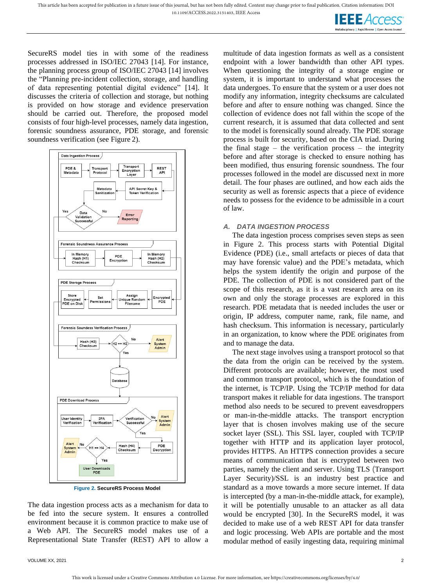**IEEE** Access

SecureRS model ties in with some of the readiness processes addressed in ISO/IEC 27043 [14]. For instance, the planning process group of ISO/IEC 27043 [14] involves the "Planning pre-incident collection, storage, and handling of data representing potential digital evidence" [14]. It discusses the criteria of collection and storage, but nothing is provided on how storage and evidence preservation should be carried out. Therefore, the proposed model consists of four high-level processes, namely data ingestion, forensic soundness assurance, PDE storage, and forensic soundness verification (see [Figure](#page-3-0) 2).



**Figure 2. SecureRS Process Model**

<span id="page-3-0"></span>The data ingestion process acts as a mechanism for data to be fed into the secure system. It ensures a controlled environment because it is common practice to make use of a Web API. The SecureRS model makes use of a Representational State Transfer (REST) API to allow a

VOLUME XX, 2021 2

multitude of data ingestion formats as well as a consistent endpoint with a lower bandwidth than other API types. When questioning the integrity of a storage engine or system, it is important to understand what processes the data undergoes. To ensure that the system or a user does not modify any information, integrity checksums are calculated before and after to ensure nothing was changed. Since the collection of evidence does not fall within the scope of the current research, it is assumed that data collected and sent to the model is forensically sound already. The PDE storage process is built for security, based on the CIA triad. During the final stage – the verification process – the integrity before and after storage is checked to ensure nothing has been modified, thus ensuring forensic soundness. The four processes followed in the model are discussed next in more detail. The four phases are outlined, and how each aids the security as well as forensic aspects that a piece of evidence needs to possess for the evidence to be admissible in a court of law.

#### *A. DATA INGESTION PROCESS*

The data ingestion process comprises seven steps as seen in [Figure 2.](#page-3-0) This process starts with Potential Digital Evidence (PDE) (i.e., small artefacts or pieces of data that may have forensic value) and the PDE's metadata, which helps the system identify the origin and purpose of the PDE. The collection of PDE is not considered part of the scope of this research, as it is a vast research area on its own and only the storage processes are explored in this research. PDE metadata that is needed includes the user or origin, IP address, computer name, rank, file name, and hash checksum. This information is necessary, particularly in an organization, to know where the PDE originates from and to manage the data.

The next stage involves using a transport protocol so that the data from the origin can be received by the system. Different protocols are available; however, the most used and common transport protocol, which is the foundation of the internet, is TCP/IP. Using the TCP/IP method for data transport makes it reliable for data ingestions. The transport method also needs to be secured to prevent eavesdroppers or man-in-the-middle attacks. The transport encryption layer that is chosen involves making use of the secure socket layer (SSL). This SSL layer, coupled with TCP/IP together with HTTP and its application layer protocol, provides HTTPS. An HTTPS connection provides a secure means of communication that is encrypted between two parties, namely the client and server. Using TLS (Transport Layer Security)/SSL is an industry best practice and standard as a move towards a more secure internet. If data is intercepted (by a man-in-the-middle attack, for example), it will be potentially unusable to an attacker as all data would be encrypted [30]. In the SecureRS model, it was decided to make use of a web REST API for data transfer and logic processing. Web APIs are portable and the most modular method of easily ingesting data, requiring minimal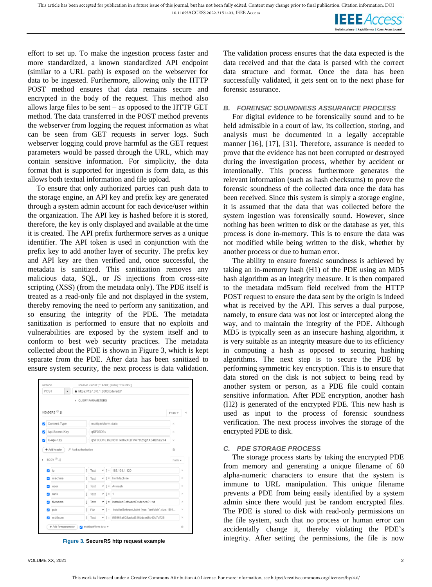This article has been accepted for publication in a future issue of this journal, but has not been fully edited. Content may change prior to final publication. Citation information: DOI

10.1109/ACCESS.2022.3151403, IEEE Access



effort to set up. To make the ingestion process faster and more standardized, a known standardized API endpoint (similar to a URL path) is exposed on the webserver for data to be ingested. Furthermore, allowing only the HTTP POST method ensures that data remains secure and encrypted in the body of the request. This method also allows large files to be sent – as opposed to the HTTP GET method. The data transferred in the POST method prevents the webserver from logging the request information as what can be seen from GET requests in server logs. Such webserver logging could prove harmful as the GET request parameters would be passed through the URL, which may contain sensitive information. For simplicity, the data format that is supported for ingestion is form data, as this allows both textual information and file upload.

To ensure that only authorized parties can push data to the storage engine, an API key and prefix key are generated through a system admin account for each device/user within the organization. The API key is hashed before it is stored, therefore, the key is only displayed and available at the time it is created. The API prefix furthermore serves as a unique identifier. The API token is used in conjunction with the prefix key to add another layer of security. The prefix key and API key are then verified and, once successful, the metadata is sanitized. This sanitization removes any malicious data, SQL, or JS injections from cross-site scripting (XSS) (from the metadata only). The PDE itself is treated as a read-only file and not displayed in the system, thereby removing the need to perform any sanitization, and so ensuring the integrity of the PDE. The metadata sanitization is performed to ensure that no exploits and vulnerabilities are exposed by the system itself and to conform to best web security practices. The metadata collected about the PDE is shown in [Figure 3,](#page-4-0) which is kept separate from the PDE. After data has been sanitized to ensure system security, the next process is data validation.

| POST |                                       |                         |      |                     |          | A https://127.0.0.1:8000/pde/add/                         |           |
|------|---------------------------------------|-------------------------|------|---------------------|----------|-----------------------------------------------------------|-----------|
|      |                                       | <b>DUERY PARAMETERS</b> |      |                     |          |                                                           |           |
|      | HEADERS $\mathcal{O}$ $\mathcal{V}_2$ |                         |      |                     |          |                                                           | Form =    |
|      | Content-Type                          |                         |      | multipart/form-data |          |                                                           | ×         |
|      | Api-Secret-Key                        |                         |      | qSF03D1u            |          |                                                           | $\times$  |
|      | X-Api-Key                             |                         |      |                     |          | qSF03D1u.mLN6YHxn8vXQFV4PetZ5ghX34ID5e2Y4                 | $\times$  |
|      |                                       |                         |      |                     |          |                                                           |           |
|      | + Add header                          | P Add authorization     |      |                     |          |                                                           | $\hat{H}$ |
|      | BODY <sup>14</sup>                    |                         |      |                     |          |                                                           | Form      |
| v    | ip                                    |                         | Text | $\checkmark$        | $1 =$    | 192.168.1.120                                             | $\times$  |
|      | machine                               |                         | Text | $\checkmark$        | $1 =$    | IronMachine                                               | $\times$  |
| v    | user                                  |                         | Text | $\checkmark$        | $1 =$    | Avinash                                                   | $\times$  |
| Ø    | rank                                  |                         | Text |                     | $-1 = 1$ |                                                           | $\times$  |
| v    | filename                              |                         | Text | v                   | $=$      | InstalledSoftwareEvidence01.txt                           | $\times$  |
| Ы    | pde                                   |                         | File | $\checkmark$        | $1 =$    | InstalledSoftwareList.txt (type: "text/plain"; size: 1691 | $\times$  |

<span id="page-4-0"></span>

The validation process ensures that the data expected is the data received and that the data is parsed with the correct data structure and format. Once the data has been successfully validated, it gets sent on to the next phase for forensic assurance.

## *B. FORENSIC SOUNDNESS ASSURANCE PROCESS*

For digital evidence to be forensically sound and to be held admissible in a court of law, its collection, storing, and analysis must be documented in a legally acceptable manner [16], [17], [31]. Therefore, assurance is needed to prove that the evidence has not been corrupted or destroyed during the investigation process, whether by accident or intentionally. This process furthermore generates the relevant information (such as hash checksums) to prove the forensic soundness of the collected data once the data has been received. Since this system is simply a storage engine, it is assumed that the data that was collected before the system ingestion was forensically sound. However, since nothing has been written to disk or the database as yet, this process is done in-memory. This is to ensure the data was not modified while being written to the disk, whether by another process or due to human error.

The ability to ensure forensic soundness is achieved by taking an in-memory hash (H1) of the PDE using an MD5 hash algorithm as an integrity measure. It is then compared to the metadata md5sum field received from the HTTP POST request to ensure the data sent by the origin is indeed what is received by the API. This serves a dual purpose, namely, to ensure data was not lost or intercepted along the way, and to maintain the integrity of the PDE. Although MD5 is typically seen as an insecure hashing algorithm, it is very suitable as an integrity measure due to its efficiency in computing a hash as opposed to securing hashing algorithms. The next step is to secure the PDE by performing symmetric key encryption. This is to ensure that data stored on the disk is not subject to being read by another system or person, as a PDE file could contain sensitive information. After PDE encryption, another hash (H2) is generated of the encrypted PDE. This new hash is used as input to the process of forensic soundness verification. The next process involves the storage of the encrypted PDE to disk.

# *C. PDE STORAGE PROCESS*

The storage process starts by taking the encrypted PDE from memory and generating a unique filename of 60 alpha-numeric characters to ensure that the system is immune to URL manipulation. This unique filename prevents a PDE from being easily identified by a system admin since there would just be random encrypted files. The PDE is stored to disk with read-only permissions on the file system, such that no process or human error can accidentally change it, thereby violating the PDE's integrity. After setting the permissions, the file is now **Figure 3. SecureRS http request example**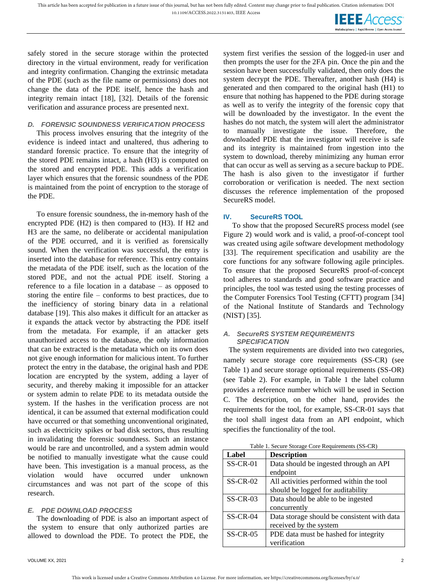**IEEE** Access

safely stored in the secure storage within the protected directory in the virtual environment, ready for verification and integrity confirmation. Changing the extrinsic metadata of the PDE (such as the file name or permissions) does not change the data of the PDE itself, hence the hash and integrity remain intact [18], [32]. Details of the forensic verification and assurance process are presented next.

#### *D. FORENSIC SOUNDNESS VERIFICATION PROCESS*

This process involves ensuring that the integrity of the evidence is indeed intact and unaltered, thus adhering to standard forensic practice. To ensure that the integrity of the stored PDE remains intact, a hash (H3) is computed on the stored and encrypted PDE. This adds a verification layer which ensures that the forensic soundness of the PDE is maintained from the point of encryption to the storage of the PDE.

To ensure forensic soundness, the in-memory hash of the encrypted PDE (H2) is then compared to (H3). If H2 and H3 are the same, no deliberate or accidental manipulation of the PDE occurred, and it is verified as forensically sound. When the verification was successful, the entry is inserted into the database for reference. This entry contains the metadata of the PDE itself, such as the location of the stored PDE, and not the actual PDE itself. Storing a reference to a file location in a database – as opposed to storing the entire file – conforms to best practices, due to the inefficiency of storing binary data in a relational database [19]. This also makes it difficult for an attacker as it expands the attack vector by abstracting the PDE itself from the metadata. For example, if an attacker gets unauthorized access to the database, the only information that can be extracted is the metadata which on its own does not give enough information for malicious intent. To further protect the entry in the database, the original hash and PDE location are encrypted by the system, adding a layer of security, and thereby making it impossible for an attacker or system admin to relate PDE to its metadata outside the system. If the hashes in the verification process are not identical, it can be assumed that external modification could have occurred or that something unconventional originated, such as electricity spikes or bad disk sectors, thus resulting in invalidating the forensic soundness. Such an instance would be rare and uncontrolled, and a system admin would be notified to manually investigate what the cause could have been. This investigation is a manual process, as the violation would have occurred under unknown circumstances and was not part of the scope of this research.

#### *E. PDE DOWNLOAD PROCESS*

The downloading of PDE is also an important aspect of the system to ensure that only authorized parties are allowed to download the PDE. To protect the PDE, the system first verifies the session of the logged-in user and then prompts the user for the 2FA pin. Once the pin and the session have been successfully validated, then only does the system decrypt the PDE. Thereafter, another hash (H4) is generated and then compared to the original hash (H1) to ensure that nothing has happened to the PDE during storage as well as to verify the integrity of the forensic copy that will be downloaded by the investigator. In the event the hashes do not match, the system will alert the administrator to manually investigate the issue. Therefore, the downloaded PDE that the investigator will receive is safe and its integrity is maintained from ingestion into the system to download, thereby minimizing any human error that can occur as well as serving as a secure backup to PDE. The hash is also given to the investigator if further corroboration or verification is needed. The next section discusses the reference implementation of the proposed SecureRS model.

#### **IV. SecureRS TOOL**

To show that the proposed SecureRS process model (see [Figure 2\)](#page-3-0) would work and is valid, a proof-of-concept tool was created using agile software development methodology [33]. The requirement specification and usability are the core functions for any software following agile principles. To ensure that the proposed SecureRS proof-of-concept tool adheres to standards and good software practice and principles, the tool was tested using the testing processes of the Computer Forensics Tool Testing (CFTT) program [34] of the National Institute of Standards and Technology (NIST) [35].

#### <span id="page-5-1"></span>*A. SecureRS SYSTEM REQUIREMENTS SPECIFICATION*

The system requirements are divided into two categories, namely secure storage core requirements (SS-CR) (see [Table 1\)](#page-5-0) and secure storage optional requirements (SS-OR) (see [Table 2\)](#page-6-0). For example, in [Table 1](#page-5-0) the label column provides a reference number which will be used in Section [C.](#page-7-0) The description, on the other hand, provides the requirements for the tool, for example, SS-CR-01 says that the tool shall ingest data from an API endpoint, which specifies the functionality of the tool.

|  |  | Table 1. Secure Storage Core Requirements (SS-CR) |  |
|--|--|---------------------------------------------------|--|

<span id="page-5-0"></span>

| Label      | <b>Description</b>                          |
|------------|---------------------------------------------|
| $SS-CR-01$ | Data should be ingested through an API      |
|            | endpoint                                    |
| $SS-CR-02$ | All activities performed within the tool    |
|            | should be logged for auditability           |
| $SS-CR-03$ | Data should be able to be ingested          |
|            | concurrently                                |
| $SS-CR-04$ | Data storage should be consistent with data |
|            | received by the system                      |
| $SS-CR-05$ | PDE data must be hashed for integrity       |
|            | verification                                |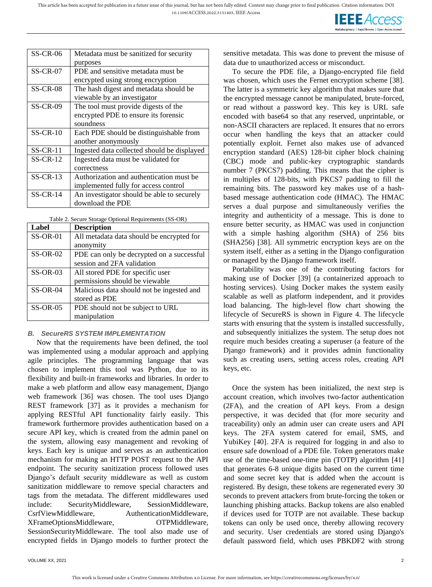

| $SS-CR-06$ | Metadata must be sanitized for security     |
|------------|---------------------------------------------|
|            | purposes                                    |
| $SS-CR-07$ | PDE and sensitive metadata must be          |
|            | encrypted using strong encryption           |
| $SS-CR-08$ | The hash digest and metadata should be      |
|            | viewable by an investigator                 |
| $SS-CR-09$ | The tool must provide digests of the        |
|            | encrypted PDE to ensure its forensic        |
|            | soundness                                   |
| $SS-CR-10$ | Each PDE should be distinguishable from     |
|            | another anonymously                         |
| $SS-CR-11$ | Ingested data collected should be displayed |
| $SS-CR-12$ | Ingested data must be validated for         |
|            | correctness                                 |
| $SS-CR-13$ | Authorization and authentication must be    |
|            | implemented fully for access control        |
| $SS-CR-14$ | An investigator should be able to securely  |
|            | download the PDE                            |

Table 2. Secure Storage Optional Requirements (SS-OR)

<span id="page-6-0"></span>

| Label      | <b>Description</b>                        |
|------------|-------------------------------------------|
| $SS-OR-01$ | All metadata data should be encrypted for |
|            | anonymity                                 |
| $SS-OR-02$ | PDE can only be decrypted on a successful |
|            | session and 2FA validation                |
| $SS-OR-03$ | All stored PDE for specific user          |
|            | permissions should be viewable            |
| $SS-OR-04$ | Malicious data should not be ingested and |
|            | stored as PDE                             |
| $SS-OR-05$ | PDE should not be subject to URL          |
|            | manipulation                              |

#### *B. SecureRS SYSTEM IMPLEMENTATION*

Now that the requirements have been defined, the tool was implemented using a modular approach and applying agile principles. The programming language that was chosen to implement this tool was Python, due to its flexibility and built-in frameworks and libraries. In order to make a web platform and allow easy management, Django web framework [36] was chosen. The tool uses Django REST framework [37] as it provides a mechanism for applying RESTful API functionality fairly easily. This framework furthermore provides authentication based on a secure API key, which is created from the admin panel on the system, allowing easy management and revoking of keys. Each key is unique and serves as an authentication mechanism for making an HTTP POST request to the API endpoint. The security sanitization process followed uses Django's default security middleware as well as custom sanitization middleware to remove special characters and tags from the metadata. The different middlewares used include: SecurityMiddleware, SessionMiddleware, CsrfViewMiddleware, AuthenticationMiddleware, XFrameOptionsMiddleware, OTPMiddleware, SessionSecurityMiddleware. The tool also made use of encrypted fields in Django models to further protect the sensitive metadata. This was done to prevent the misuse of data due to unauthorized access or misconduct.

To secure the PDE file, a Django-encrypted file field was chosen, which uses the Fernet encryption scheme [38]. The latter is a symmetric key algorithm that makes sure that the encrypted message cannot be manipulated, brute-forced, or read without a password key. This key is URL safe encoded with base64 so that any reserved, unprintable, or non-ASCII characters are replaced. It ensures that no errors occur when handling the keys that an attacker could potentially exploit. Fernet also makes use of advanced encryption standard (AES) 128-bit cipher block chaining (CBC) mode and public-key cryptographic standards number 7 (PKCS7) padding. This means that the cipher is in multiples of 128-bits, with PKCS7 padding to fill the remaining bits. The password key makes use of a hashbased message authentication code (HMAC). The HMAC serves a dual purpose and simultaneously verifies the integrity and authenticity of a message. This is done to ensure better security, as HMAC was used in conjunction with a simple hashing algorithm (SHA) of 256 bits (SHA256) [38]. All symmetric encryption keys are on the system itself, either as a setting in the Django configuration or managed by the Django framework itself.

Portability was one of the contributing factors for making use of Docker [39] (a containerized approach to hosting services). Using Docker makes the system easily scalable as well as platform independent, and it provides load balancing. The high-level flow chart showing the lifecycle of SecureRS is shown in [Figure 4.](#page-7-1) The lifecycle starts with ensuring that the system is installed successfully, and subsequently initializes the system. The setup does not require much besides creating a superuser (a feature of the Django framework) and it provides admin functionality such as creating users, setting access roles, creating API keys, etc.

Once the system has been initialized, the next step is account creation, which involves two-factor authentication (2FA), and the creation of API keys. From a design perspective, it was decided that (for more security and traceability) only an admin user can create users and API keys. The 2FA system catered for email, SMS, and YubiKey [40]. 2FA is required for logging in and also to ensure safe download of a PDE file. Token generators make use of the time-based one-time pin (TOTP) algorithm [41] that generates 6-8 unique digits based on the current time and some secret key that is added when the account is registered. By design, these tokens are regenerated every 30 seconds to prevent attackers from brute-forcing the token or launching phishing attacks. Backup tokens are also enabled if devices used for TOTP are not available. These backup tokens can only be used once, thereby allowing recovery and security. User credentials are stored using Django's default password field, which uses PBKDF2 with strong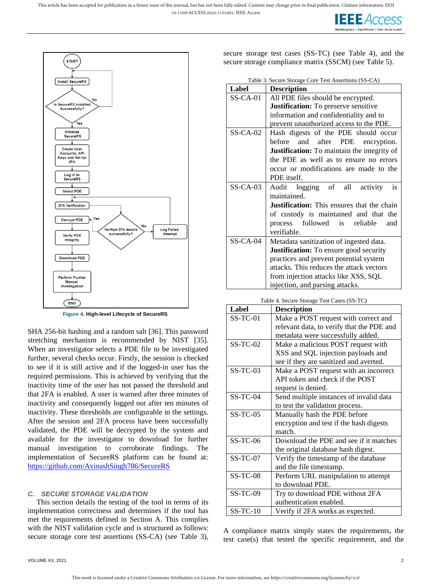



**Figure 4. High-level Lifecycle of SecureRS**

<span id="page-7-1"></span>SHA 256-bit hashing and a random salt [36]. This password stretching mechanism is recommended by NIST [35]. When an investigator selects a PDE file to be investigated further, several checks occur. Firstly, the session is checked to see if it is still active and if the logged-in user has the required permissions. This is achieved by verifying that the inactivity time of the user has not passed the threshold and that 2FA is enabled. A user is warned after three minutes of inactivity and consequently logged out after ten minutes of inactivity. These thresholds are configurable in the settings. After the session and 2FA process have been successfully validated, the PDE will be decrypted by the system and available for the investigator to download for further manual investigation to corroborate findings. The implementation of SecureRS platform can be found at: <https://github.com/AvinashSingh786/SecureRS>

#### <span id="page-7-0"></span>*C. SECURE STORAGE VALIDATION*

This section details the testing of the tool in terms of its implementation correctness and determines if the tool has met the requirements defined in Section [A.](#page-5-1) This complies with the NIST validation cycle and is structured as follows: secure storage core test assertions (SS-CA) (see [Table 3\)](#page-7-2), secure storage test cases (SS-TC) (see [Table 4\)](#page-7-3), and the secure storage compliance matrix (SSCM) (see [Table 5\)](#page-8-0).

|  |  | Table 3. Secure Storage Core Test Assertions (SS-CA) |  |
|--|--|------------------------------------------------------|--|
|  |  |                                                      |  |

<span id="page-7-2"></span>

| Label      | <b>Description</b>                                 |  |  |  |
|------------|----------------------------------------------------|--|--|--|
| $SS-CA-01$ | All PDE files should be encrypted.                 |  |  |  |
|            | <b>Justification:</b> To preserve sensitive        |  |  |  |
|            | information and confidentiality and to             |  |  |  |
|            | prevent unauthorized access to the PDE.            |  |  |  |
| $SS-CA-02$ | Hash digests of the PDE should occur               |  |  |  |
|            | before and after PDE encryption.                   |  |  |  |
|            | <b>Justification:</b> To maintain the integrity of |  |  |  |
|            | the PDE as well as to ensure no errors             |  |  |  |
|            | occur or modifications are made to the             |  |  |  |
|            | PDE itself.                                        |  |  |  |
| $SS-CA-03$ | Audit logging of all activity<br>is                |  |  |  |
|            | maintained.                                        |  |  |  |
|            | <b>Justification:</b> This ensures that the chain  |  |  |  |
|            | of custody is maintained and that the              |  |  |  |
|            | process followed is reliable<br>and                |  |  |  |
|            | verifiable.                                        |  |  |  |
| $SS-CA-04$ | Metadata sanitization of ingested data.            |  |  |  |
|            | <b>Justification:</b> To ensure good security      |  |  |  |
|            | practices and prevent potential system             |  |  |  |
|            | attacks. This reduces the attack vectors           |  |  |  |
|            | from injection attacks like XSS, SQL               |  |  |  |
|            | injection, and parsing attacks.                    |  |  |  |

<span id="page-7-3"></span>

| Table 4. Secure Storage Test Cases (SS-TC) |                                           |  |  |  |
|--------------------------------------------|-------------------------------------------|--|--|--|
| Label                                      | <b>Description</b>                        |  |  |  |
| $SS-TC-01$                                 | Make a POST request with correct and      |  |  |  |
|                                            | relevant data, to verify that the PDE and |  |  |  |
|                                            | metadata were successfully added.         |  |  |  |
| $SS-TC-02$                                 | Make a malicious POST request with        |  |  |  |
|                                            | XSS and SQL injection payloads and        |  |  |  |
|                                            | see if they are sanitized and averted.    |  |  |  |
| $SS-TC-03$                                 | Make a POST request with an incorrect     |  |  |  |
|                                            | API token and check if the POST           |  |  |  |
|                                            | request is denied.                        |  |  |  |
| $SS-TC-04$                                 | Send multiple instances of invalid data   |  |  |  |
|                                            | to test the validation process.           |  |  |  |
| $SS-TC-05$                                 | Manually hash the PDE before              |  |  |  |
|                                            | encryption and test if the hash digests   |  |  |  |
|                                            | match.                                    |  |  |  |
| $SS-TC-06$                                 | Download the PDE and see if it matches    |  |  |  |
|                                            | the original database hash digest.        |  |  |  |
| $SS-TC-07$                                 | Verify the timestamp of the database      |  |  |  |
|                                            | and the file timestamp.                   |  |  |  |
| $SS-TC-08$                                 | Perform URL manipulation to attempt       |  |  |  |
|                                            | to download PDE.                          |  |  |  |
| $SS-TC-09$                                 | Try to download PDE without 2FA           |  |  |  |
|                                            | authentication enabled.                   |  |  |  |
| $SS-TC-10$                                 | Verify if 2FA works as expected.          |  |  |  |

A compliance matrix simply states the requirements, the test case(s) that tested the specific requirement, and the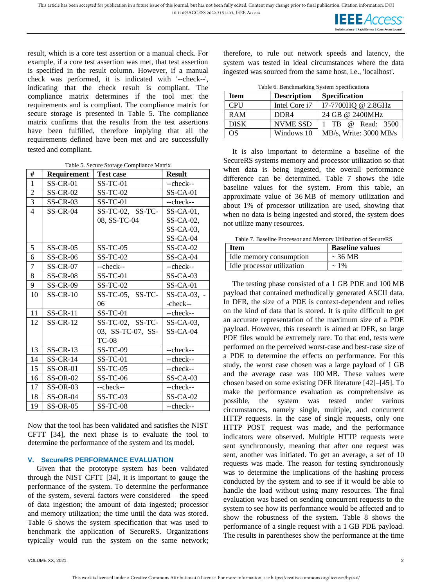

result, which is a core test assertion or a manual check. For example, if a core test assertion was met, that test assertion is specified in the result column. However, if a manual check was performed, it is indicated with '--check--', indicating that the check result is compliant. The compliance matrix determines if the tool met the requirements and is compliant. The compliance matrix for secure storage is presented in [Table 5.](#page-8-0) The compliance matrix confirms that the results from the test assertions have been fulfilled, therefore implying that all the requirements defined have been met and are successfully tested and compliant.

|  | Table 5. Secure Storage Compliance Matrix |  |  |
|--|-------------------------------------------|--|--|

<span id="page-8-0"></span>

| #                | Requirement     | <b>Test case</b>      | <b>Result</b>  |
|------------------|-----------------|-----------------------|----------------|
| $\,1$            | <b>SS-CR-01</b> | <b>SS-TC-01</b>       | --check--      |
| $\overline{2}$   | <b>SS-CR-02</b> | $SS-TC-02$            | $SS-CA-01$     |
| 3                | $SS-CR-03$      | $SS-TC-01$            | --check--      |
| $\overline{4}$   | $SS-CR-04$      | $SS-TC-02$ , $SS-TC-$ | $SS-CA-01$ ,   |
|                  |                 | 08, SS-TC-04          | $SS-CA-02$ ,   |
|                  |                 |                       | $SS-CA-03$ ,   |
|                  |                 |                       | $SS-CA-04$     |
| 5                | $SS-CR-05$      | $SS-TC-05$            | $SS-CA-02$     |
| 6                | $SS-CR-06$      | $SS-TC-02$            | $SS-CA-04$     |
| $\boldsymbol{7}$ | $SS-CR-07$      | --check--             | --check--      |
| 8                | $SS-CR-08$      | $SS-TC-01$            | $SS-CA-03$     |
| 9                | $SS-CR-09$      | $SS-TC-02$            | $SS-CA-01$     |
| 10               | $SS-CR-10$      | $SS-TC-05$ , $SS-TC-$ | $SS-CA-03$ , - |
|                  |                 | 06                    | -check--       |
| 11               | $SS-CR-11$      | $SS-TC-01$            | --check--      |
| 12               | $SS-CR-12$      | $SS-TC-02$ , $SS-TC-$ | $SS-CA-03$ ,   |
|                  |                 | 03, SS-TC-07, SS-     | $SS-CA-04$     |
|                  |                 | <b>TC-08</b>          |                |
| 13               | $SS-CR-13$      | $SS-TC-09$            | --check--      |
| 14               | $SS-CR-14$      | <b>SS-TC-01</b>       | --check--      |
| 15               | $SS-OR-01$      | $SS-TC-05$            | --check--      |
| 16               | $SS-OR-02$      | $SS-TC-06$            | $SS-CA-03$     |
| 17               | $SS-OR-03$      | --check--             | --check--      |
| 18               | $SS-OR-04$      | $SS-TC-03$            | $SS-CA-02$     |
| 19               | $SS-OR-05$      | $SS-TC-08$            | --check--      |

Now that the tool has been validated and satisfies the NIST CFTT [34], the next phase is to evaluate the tool to determine the performance of the system and its model.

#### **V. SecureRS PERFORMANCE EVALUATION**

Given that the prototype system has been validated through the NIST CFTT [34], it is important to gauge the performance of the system. To determine the performance of the system, several factors were considered – the speed of data ingestion; the amount of data ingested; processor and memory utilization; the time until the data was stored. [Table 6](#page-8-1) shows the system specification that was used to benchmark the application of SecureRS. Organizations typically would run the system on the same network; therefore, to rule out network speeds and latency, the system was tested in ideal circumstances where the data ingested was sourced from the same host, i.e., 'localhost'.

<span id="page-8-1"></span>

| Table 6. Benchmarking System Specifications |                    |                        |  |  |  |
|---------------------------------------------|--------------------|------------------------|--|--|--|
| <b>Item</b>                                 | <b>Description</b> | Specification          |  |  |  |
| <b>CPU</b>                                  | Intel Core i7      | I7-7700HQ @ 2.8GHz     |  |  |  |
| RAM                                         | D <sub>DR4</sub>   | 24 GB @ 2400MHz        |  |  |  |
| <b>DISK</b>                                 | <b>NVME SSD</b>    | 1 TB @ Read: 3500      |  |  |  |
| OS                                          | Windows 10         | MB/s, Write: 3000 MB/s |  |  |  |

It is also important to determine a baseline of the SecureRS systems memory and processor utilization so that when data is being ingested, the overall performance difference can be determined. [Table 7](#page-8-2) shows the idle baseline values for the system. From this table, an approximate value of 36 MB of memory utilization and about 1% of processor utilization are used, showing that when no data is being ingested and stored, the system does not utilize many resources.

Table 7. Baseline Processor and Memory Utilization of SecureRS

<span id="page-8-2"></span>

| <b>Item</b>                  | <b>Baseline values</b> |
|------------------------------|------------------------|
| I dle memory consumption     | $\sim$ 36 MB           |
| I Idle processor utilization | $\sim$ 1\%             |

The testing phase consisted of a 1 GB PDE and 100 MB payload that contained methodically generated ASCII data. In DFR, the size of a PDE is context-dependent and relies on the kind of data that is stored. It is quite difficult to get an accurate representation of the maximum size of a PDE payload. However, this research is aimed at DFR, so large PDE files would be extremely rare. To that end, tests were performed on the perceived worst-case and best-case size of a PDE to determine the effects on performance. For this study, the worst case chosen was a large payload of 1 GB and the average case was 100 MB. These values were chosen based on some existing DFR literature [42]–[45]. To make the performance evaluation as comprehensive as possible, the system was tested under various circumstances, namely single, multiple, and concurrent HTTP requests. In the case of single requests, only one HTTP POST request was made, and the performance indicators were observed. Multiple HTTP requests were sent synchronously, meaning that after one request was sent, another was initiated. To get an average, a set of 10 requests was made. The reason for testing synchronously was to determine the implications of the hashing process conducted by the system and to see if it would be able to handle the load without using many resources. The final evaluation was based on sending concurrent requests to the system to see how its performance would be affected and to show the robustness of the system. [Table 8](#page-9-0) shows the performance of a single request with a 1 GB PDE payload. The results in parentheses show the performance at the time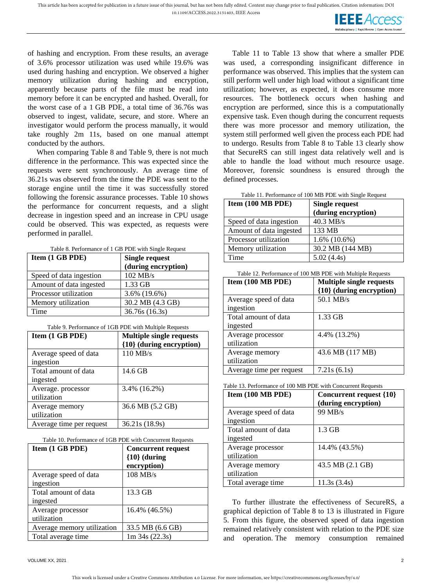

of hashing and encryption. From these results, an average of 3.6% processor utilization was used while 19.6% was used during hashing and encryption. We observed a higher memory utilization during hashing and encryption, apparently because parts of the file must be read into memory before it can be encrypted and hashed. Overall, for the worst case of a 1 GB PDE, a total time of 36.76s was observed to ingest, validate, secure, and store. Where an investigator would perform the process manually, it would take roughly 2m 11s, based on one manual attempt conducted by the authors.

When comparing [Table 8](#page-9-0) and [Table 9,](#page-9-1) there is not much difference in the performance. This was expected since the requests were sent synchronously. An average time of 36.21s was observed from the time the PDE was sent to the storage engine until the time it was successfully stored following the forensic assurance processes. [Table 10](#page-9-2) shows the performance for concurrent requests, and a slight decrease in ingestion speed and an increase in CPU usage could be observed. This was expected, as requests were performed in parallel.

|--|

<span id="page-9-0"></span>

| Item (1 GB PDE)         | Single request      |  |
|-------------------------|---------------------|--|
|                         | (during encryption) |  |
| Speed of data ingestion | 102 MB/s            |  |
| Amount of data ingested | 1.33 GB             |  |
| Processor utilization   | 3.6% (19.6%)        |  |
| Memory utilization      | 30.2 MB (4.3 GB)    |  |
| Time                    | 36.76s (16.3s)      |  |

Table 9. Performance of 1GB PDE with Multiple Requests

<span id="page-9-1"></span>

| Item (1 GB PDE)          | <b>Multiple single requests</b><br>{10} (during encryption) |
|--------------------------|-------------------------------------------------------------|
| Average speed of data    | 110 MB/s                                                    |
| ingestion                |                                                             |
| Total amount of data     | 14.6 GB                                                     |
| ingested                 |                                                             |
| Average. processor       | $3.4\%$ (16.2%)                                             |
| utilization              |                                                             |
| Average memory           | 36.6 MB (5.2 GB)                                            |
| utilization              |                                                             |
| Average time per request | 36.21s (18.9s)                                              |

#### <span id="page-9-2"></span>Table 10. Performance of 1GB PDE with Concurrent Requests

| Item (1 GB PDE)            | <b>Concurrent request</b><br>${10}$ (during |
|----------------------------|---------------------------------------------|
|                            | encryption)                                 |
| Average speed of data      | $108$ MB/s                                  |
| ingestion                  |                                             |
| Total amount of data       | 13.3 GB                                     |
| ingested                   |                                             |
| Average processor          | 16.4% (46.5%)                               |
| utilization                |                                             |
| Average memory utilization | 33.5 MB (6.6 GB)                            |
| Total average time         | $1m$ 34s (22.3s)                            |

[Table 11](#page-9-3) to [Table 13](#page-9-4) show that where a smaller PDE was used, a corresponding insignificant difference in performance was observed. This implies that the system can still perform well under high load without a significant time utilization; however, as expected, it does consume more resources. The bottleneck occurs when hashing and encryption are performed, since this is a computationally expensive task. Even though during the concurrent requests there was more processor and memory utilization, the system still performed well given the process each PDE had to undergo. Results from [Table 8](#page-9-0) to [Table 13](#page-9-4) clearly show that SecureRS can still ingest data relatively well and is able to handle the load without much resource usage. Moreover, forensic soundness is ensured through the defined processes.

<span id="page-9-3"></span>

| Table 11. Performance of 100 MB PDE with Single Request |
|---------------------------------------------------------|
|                                                         |

| Item $(100 \text{ MB PDE})$ | <b>Single request</b> |
|-----------------------------|-----------------------|
|                             | (during encryption)   |
| Speed of data ingestion     | $40.3$ MB/s           |
| Amount of data ingested     | 133 MB                |
| Processor utilization       | $1.6\%$ (10.6%)       |
| Memory utilization          | 30.2 MB (144 MB)      |
| Time                        | 5.02(4.4s)            |

Table 12. Performance of 100 MB PDE with Multiple Requests

| Item (100 MB PDE)                  | <b>Multiple single requests</b><br>{10} (during encryption) |
|------------------------------------|-------------------------------------------------------------|
| Average speed of data<br>ingestion | $50.1$ MB/s                                                 |
| Total amount of data<br>ingested   | 1.33 GB                                                     |
| Average processor<br>utilization   | 4.4% (13.2%)                                                |
| Average memory<br>utilization      | 43.6 MB (117 MB)                                            |
| Average time per request           | 7.21s(6.1s)                                                 |

<span id="page-9-4"></span>Table 13. Performance of 100 MB PDE with Concurrent Requests

| Item $(100 \text{ MB } PDE)$       | Concurrent request {10}<br>(during encryption) |
|------------------------------------|------------------------------------------------|
| Average speed of data<br>ingestion | 99 MB/s                                        |
| Total amount of data<br>ingested   | $1.3$ GB                                       |
| Average processor<br>utilization   | 14.4% (43.5%)                                  |
| Average memory<br>utilization      | 43.5 MB (2.1 GB)                               |
| Total average time                 | 11.3s(3.4s)                                    |

To further illustrate the effectiveness of SecureRS, a graphical depiction of Table 8 to 13 is illustrated in [Figure](#page-10-0)  [5.](#page-10-0) From this figure, the observed speed of data ingestion remained relatively consistent with relation to the PDE size and operation. The memory consumption remained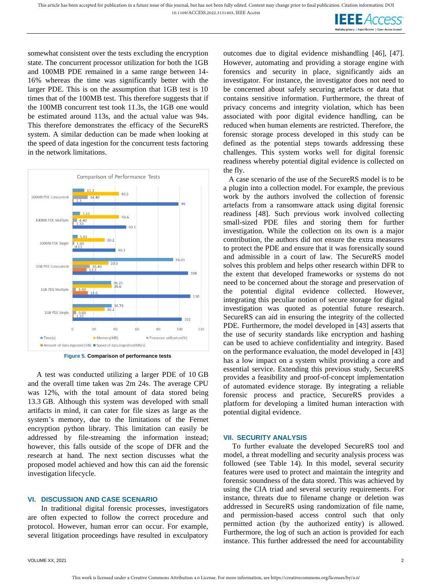**IEEE** Access

somewhat consistent over the tests excluding the encryption state. The concurrent processor utilization for both the 1GB and 100MB PDE remained in a same range between 14- 16% whereas the time was significantly better with the larger PDE. This is on the assumption that 1GB test is 10 times that of the 100MB test. This therefore suggests that if the 100MB concurrent test took 11.3s, the 1GB one would be estimated around 113s, and the actual value was 94s. This therefore demonstrates the efficacy of the SecureRS system. A similar deduction can be made when looking at the speed of data ingestion for the concurrent tests factoring in the network limitations.



**Figure 5. Comparison of performance tests**

<span id="page-10-0"></span>A test was conducted utilizing a larger PDE of 10 GB and the overall time taken was 2m 24s. The average CPU was 12%, with the total amount of data stored being 13.3 GB. Although this system was developed with small artifacts in mind, it can cater for file sizes as large as the system's memory, due to the limitations of the Fernet encryption python library. This limitation can easily be addressed by file-streaming the information instead; however, this falls outside of the scope of DFR and the research at hand. The next section discusses what the proposed model achieved and how this can aid the forensic investigation lifecycle.

#### **VI. DISCUSSION AND CASE SCENARIO**

In traditional digital forensic processes, investigators are often expected to follow the correct procedure and protocol. However, human error can occur. For example, several litigation proceedings have resulted in exculpatory outcomes due to digital evidence mishandling [46], [47]. However, automating and providing a storage engine with forensics and security in place, significantly aids an investigator. For instance, the investigator does not need to be concerned about safely securing artefacts or data that contains sensitive information. Furthermore, the threat of privacy concerns and integrity violation, which has been associated with poor digital evidence handling, can be reduced when human elements are restricted. Therefore, the forensic storage process developed in this study can be defined as the potential steps towards addressing these challenges. This system works well for digital forensic readiness whereby potential digital evidence is collected on the fly.

A case scenario of the use of the SecureRS model is to be a plugin into a collection model. For example, the previous work by the authors involved the collection of forensic artefacts from a ransomware attack using digital forensic readiness [48]. Such previous work involved collecting small-sized PDE files and storing them for further investigation. While the collection on its own is a major contribution, the authors did not ensure the extra measures to protect the PDE and ensure that it was forensically sound and admissible in a court of law. The SecureRS model solves this problem and helps other research within DFR to the extent that developed frameworks or systems do not need to be concerned about the storage and preservation of the potential digital evidence collected. However, integrating this peculiar notion of secure storage for digital investigation was quoted as potential future research. SecureRS can aid in ensuring the integrity of the collected PDE. Furthermore, the model developed in [43] asserts that the use of security standards like encryption and hashing can be used to achieve confidentiality and integrity. Based on the performance evaluation, the model developed in [43] has a low impact on a system whilst providing a core and essential service. Extending this previous study, SecureRS provides a feasibility and proof-of-concept implementation of automated evidence storage. By integrating a reliable forensic process and practice, SecureRS provides a platform for developing a limited human interaction with potential digital evidence.

#### **VII. SECURITY ANALYSIS**

To further evaluate the developed SecureRS tool and model, a threat modelling and security analysis process was followed (see [Table 14\)](#page-11-0). In this model, several security features were used to protect and maintain the integrity and forensic soundness of the data stored. This was achieved by using the CIA triad and several security requirements. For instance, threats due to filename change or deletion was addressed in SecureRS using randomization of file name, and permission-based access control such that only permitted action (by the authorized entity) is allowed. Furthermore, the log of such an action is provided for each instance. This further addressed the need for accountability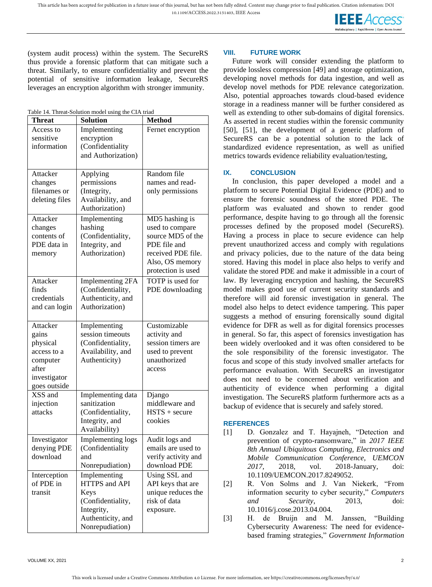**IEEE** Access

(system audit process) within the system. The SecureRS thus provide a forensic platform that can mitigate such a threat. Similarly, to ensure confidentiality and prevent the potential of sensitive information leakage, SecureRS leverages an encryption algorithm with stronger immunity.

<span id="page-11-0"></span>Table 14. Threat-Solution model using the CIA triad

| <b>Threat</b>             | <b>Solution</b>                   | <b>Method</b>            |
|---------------------------|-----------------------------------|--------------------------|
| Access to                 | Implementing                      | Fernet encryption        |
| sensitive                 | encryption                        |                          |
| information               | (Confidentiality                  |                          |
|                           | and Authorization)                |                          |
|                           |                                   |                          |
| Attacker                  | Applying                          | Random file              |
| changes                   | permissions                       | names and read-          |
| filenames or              | (Integrity,                       | only permissions         |
| deleting files            | Availability, and                 |                          |
|                           | Authorization)                    |                          |
| Attacker                  | Implementing                      | MD5 hashing is           |
| changes                   | hashing                           | used to compare          |
| contents of               | (Confidentiality,                 | source MD5 of the        |
| PDE data in               | Integrity, and                    | PDE file and             |
| memory                    | Authorization)                    | received PDE file.       |
|                           |                                   | Also, OS memory          |
|                           |                                   | protection is used       |
| Attacker                  | <b>Implementing 2FA</b>           | TOTP is used for         |
| finds                     | (Confidentiality,                 | PDE downloading          |
| credentials               | Authenticity, and                 |                          |
| and can login             | Authorization)                    |                          |
|                           |                                   |                          |
| Attacker                  | Implementing                      | Customizable             |
| gains                     | session timeouts                  | activity and             |
| physical                  | (Confidentiality,                 | session timers are       |
| access to a               | Availability, and                 | used to prevent          |
| computer                  | Authenticity)                     | unauthorized             |
| after                     |                                   | access                   |
| investigator              |                                   |                          |
| goes outside<br>XSS and   |                                   |                          |
|                           | Implementing data<br>sanitization | Django<br>middleware and |
| injection<br>attacks      | (Confidentiality,                 | $HSTS + secure$          |
|                           | Integrity, and                    | cookies                  |
|                           | Availability)                     |                          |
| Investigator              | Implementing logs                 | Audit logs and           |
| denying PDE               | (Confidentiality                  | emails are used to       |
| download                  | and                               | verify activity and      |
|                           | Nonrepudiation)                   | download PDE             |
|                           | Implementing                      | Using SSL and            |
| Interception<br>of PDE in | HTTPS and API                     | API keys that are        |
| transit                   | Keys                              | unique reduces the       |
|                           | (Confidentiality,                 | risk of data             |
|                           | Integrity,                        | exposure.                |
|                           | Authenticity, and                 |                          |
|                           | Nonrepudiation)                   |                          |
|                           |                                   |                          |

# **VIII. FUTURE WORK**

Future work will consider extending the platform to provide lossless compression [49] and storage optimization, developing novel methods for data ingestion, and well as develop novel methods for PDE relevance categorization. Also, potential approaches towards cloud-based evidence storage in a readiness manner will be further considered as well as extending to other sub-domains of digital forensics. As asserted in recent studies within the forensic community [50], [51], the development of a generic platform of SecureRS can be a potential solution to the lack of standardized evidence representation, as well as unified metrics towards evidence reliability evaluation/testing,

# **IX. CONCLUSION**

In conclusion, this paper developed a model and a platform to secure Potential Digital Evidence (PDE) and to ensure the forensic soundness of the stored PDE. The platform was evaluated and shown to render good performance, despite having to go through all the forensic processes defined by the proposed model (SecureRS). Having a process in place to secure evidence can help prevent unauthorized access and comply with regulations and privacy policies, due to the nature of the data being stored. Having this model in place also helps to verify and validate the stored PDE and make it admissible in a court of law. By leveraging encryption and hashing, the SecureRS model makes good use of current security standards and therefore will aid forensic investigation in general. The model also helps to detect evidence tampering. This paper suggests a method of ensuring forensically sound digital evidence for DFR as well as for digital forensics processes in general. So far, this aspect of forensics investigation has been widely overlooked and it was often considered to be the sole responsibility of the forensic investigator. The focus and scope of this study involved smaller artefacts for performance evaluation. With SecureRS an investigator does not need to be concerned about verification and authenticity of evidence when performing a digital investigation. The SecureRS platform furthermore acts as a backup of evidence that is securely and safely stored.

# **REFERENCES**

- [1] D. Gonzalez and T. Hayajneh, "Detection and prevention of crypto-ransomware," in *2017 IEEE 8th Annual Ubiquitous Computing, Electronics and Mobile Communication Conference, UEMCON 2017*, 2018, vol. 2018-January, doi: 10.1109/UEMCON.2017.8249052.
- [2] R. Von Solms and J. Van Niekerk, "From information security to cyber security," *Computers and Security*, 2013, doi: 10.1016/j.cose.2013.04.004.
- [3] H. de Bruijn and M. Janssen, "Building Cybersecurity Awareness: The need for evidencebased framing strategies," *Government Information*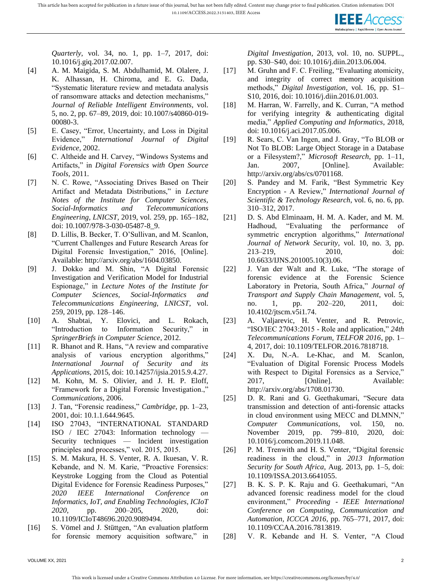

*Quarterly*, vol. 34, no. 1, pp. 1–7, 2017, doi: 10.1016/j.giq.2017.02.007.

- [4] A. M. Maigida, S. M. Abdulhamid, M. Olalere, J. K. Alhassan, H. Chiroma, and E. G. Dada, "Systematic literature review and metadata analysis of ransomware attacks and detection mechanisms," *Journal of Reliable Intelligent Environments*, vol. 5, no. 2, pp. 67–89, 2019, doi: 10.1007/s40860-019- 00080-3.
- [5] E. Casey, "Error, Uncertainty, and Loss in Digital Evidence," *International Journal of Digital Evidence*, 2002.
- [6] C. Altheide and H. Carvey, "Windows Systems and Artifacts," in *Digital Forensics with Open Source Tools*, 2011.
- [7] N. C. Rowe, "Associating Drives Based on Their Artifact and Metadata Distributions," in *Lecture Notes of the Institute for Computer Sciences, Social-Informatics and Telecommunications Engineering, LNICST*, 2019, vol. 259, pp. 165–182, doi: 10.1007/978-3-030-05487-8\_9.
- [8] D. Lillis, B. Becker, T. O'Sullivan, and M. Scanlon, "Current Challenges and Future Research Areas for Digital Forensic Investigation," 2016, [Online]. Available: http://arxiv.org/abs/1604.03850.
- [9] J. Dokko and M. Shin, "A Digital Forensic Investigation and Verification Model for Industrial Espionage," in *Lecture Notes of the Institute for Computer Sciences, Social-Informatics and Telecommunications Engineering, LNICST*, vol. 259, 2019, pp. 128–146.
- [10] A. Shabtai, Y. Elovici, and L. Rokach, "Introduction to Information Security," in *SpringerBriefs in Computer Science*, 2012.
- [11] R. Bhanot and R. Hans, "A review and comparative analysis of various encryption algorithms," *International Journal of Security and its Applications*, 2015, doi: 10.14257/ijsia.2015.9.4.27.
- [12] M. Kohn, M. S. Olivier, and J. H. P. Eloff, "Framework for a Digital Forensic Investigation.," *Communications*, 2006.
- [13] J. Tan, "Forensic readiness," *Cambridge*, pp. 1–23, 2001, doi: 10.1.1.644.9645.
- [14] ISO 27043, "INTERNATIONAL STANDARD ISO / IEC 27043: Information technology — Security techniques — Incident investigation principles and processes," vol. 2015, 2015.
- [15] S. M. Makura, H. S. Venter, R. A. Ikuesan, V. R. Kebande, and N. M. Karie, "Proactive Forensics: Keystroke Logging from the Cloud as Potential Digital Evidence for Forensic Readiness Purposes," *2020 IEEE International Conference on Informatics, IoT, and Enabling Technologies, ICIoT 2020*, pp. 200–205, 2020, doi: 10.1109/ICIoT48696.2020.9089494.
- [16] S. Vömel and J. Stüttgen, "An evaluation platform for forensic memory acquisition software," in

*Digital Investigation*, 2013, vol. 10, no. SUPPL., pp. S30–S40, doi: 10.1016/j.diin.2013.06.004.

- [17] M. Gruhn and F. C. Freiling, "Evaluating atomicity, and integrity of correct memory acquisition methods," *Digital Investigation*, vol. 16, pp. S1– S10, 2016, doi: 10.1016/j.diin.2016.01.003.
- [18] M. Harran, W. Farrelly, and K. Curran, "A method for verifying integrity & authenticating digital media," *Applied Computing and Informatics*, 2018, doi: 10.1016/j.aci.2017.05.006.
- [19] R. Sears, C. Van Ingen, and J. Gray, "To BLOB or Not To BLOB: Large Object Storage in a Database or a Filesystem?," *Microsoft Research*, pp. 1–11, Jan. 2007, [Online]. Available: http://arxiv.org/abs/cs/0701168.
- [20] S. Pandey and M. Farik, "Best Symmetric Key Encryption - A Review," *International Journal of Scientific & Technology Research*, vol. 6, no. 6, pp. 310–312, 2017.
- [21] D. S. Abd Elminaam, H. M. A. Kader, and M. M. Hadhoud, "Evaluating the performance of symmetric encryption algorithms," *International Journal of Network Security*, vol. 10, no. 3, pp. 213–219, 2010, doi: 10.6633/IJNS.201005.10(3).06.
- [22] J. Van der Walt and R. Luke, "The storage of forensic evidence at the Forensic Science Laboratory in Pretoria, South Africa," *Journal of Transport and Supply Chain Management*, vol. 5, no. 1, pp. 202–220, 2011, doi: 10.4102/jtscm.v5i1.74.
- [23] A. Valjarevic, H. Venter, and R. Petrovic, "ISO/IEC 27043:2015 - Role and application," *24th Telecommunications Forum, TELFOR 2016*, pp. 1– 4, 2017, doi: 10.1109/TELFOR.2016.7818718.
- [24] X. Du, N.-A. Le-Khac, and M. Scanlon, "Evaluation of Digital Forensic Process Models with Respect to Digital Forensics as a Service," 2017, [Online]. Available: http://arxiv.org/abs/1708.01730.
- [25] D. R. Rani and G. Geethakumari, "Secure data transmission and detection of anti-forensic attacks in cloud environment using MECC and DLMNN," *Computer Communications*, vol. 150, no. November 2019, pp. 799–810, 2020, doi: 10.1016/j.comcom.2019.11.048.
- [26] P. M. Trenwith and H. S. Venter, "Digital forensic readiness in the cloud," in *2013 Information Security for South Africa*, Aug. 2013, pp. 1–5, doi: 10.1109/ISSA.2013.6641055.
- [27] B. K. S. P. K. Raju and G. Geethakumari, "An advanced forensic readiness model for the cloud environment," *Proceeding - IEEE International Conference on Computing, Communication and Automation, ICCCA 2016*, pp. 765–771, 2017, doi: 10.1109/CCAA.2016.7813819.
- [28] V. R. Kebande and H. S. Venter, "A Cloud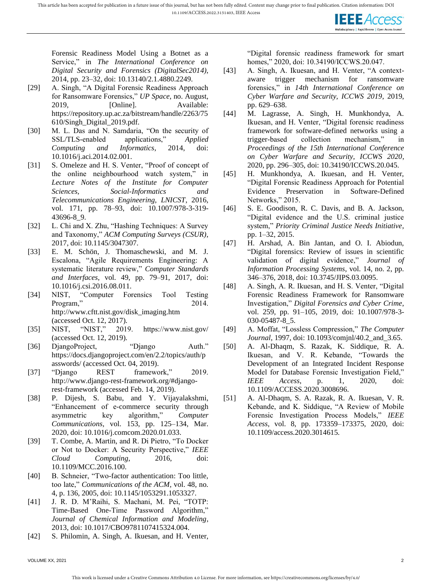

Forensic Readiness Model Using a Botnet as a Service," in *The International Conference on Digital Security and Forensics (DigitalSec2014)*, 2014, pp. 23–32, doi: 10.13140/2.1.4880.2249.

- [29] A. Singh, "A Digital Forensic Readiness Approach for Ransomware Forensics," *UP Space*, no. August, 2019, [Online]. Available: https://repository.up.ac.za/bitstream/handle/2263/75 610/Singh\_Digital\_2019.pdf.
- [30] M. L. Das and N. Samdaria, "On the security of SSL/TLS-enabled applications," *Applied Computing and Informatics*, 2014, doi: 10.1016/j.aci.2014.02.001.
- [31] S. Omeleze and H. S. Venter, "Proof of concept of the online neighbourhood watch system," in *Lecture Notes of the Institute for Computer Sciences, Social-Informatics and Telecommunications Engineering, LNICST*, 2016, vol. 171, pp. 78–93, doi: 10.1007/978-3-319- 43696-8\_9.
- [32] L. Chi and X. Zhu, "Hashing Techniques: A Survey and Taxonomy," *ACM Computing Surveys (CSUR)*, 2017, doi: 10.1145/3047307.
- [33] E. M. Schön, J. Thomaschewski, and M. J. Escalona, "Agile Requirements Engineering: A systematic literature review," *Computer Standards and Interfaces*, vol. 49, pp. 79–91, 2017, doi: 10.1016/j.csi.2016.08.011.
- [34] NIST, "Computer Forensics Tool Testing Program," 2014. http://www.cftt.nist.gov/disk\_imaging.htm (accessed Oct. 12, 2017).
- [35] NIST, "NIST," 2019. https://www.nist.gov/ (accessed Oct. 12, 2019).
- [36] DjangoProject, "Django Auth." https://docs.djangoproject.com/en/2.2/topics/auth/p asswords/ (accessed Oct. 04, 2019).
- [37] "Django REST framework," 2019. http://www.django-rest-framework.org/#djangorest-framework (accessed Feb. 14, 2019).
- [38] P. Dijesh, S. Babu, and Y. Vijayalakshmi, "Enhancement of e-commerce security through asymmetric key algorithm," *Computer Communications*, vol. 153, pp. 125–134, Mar. 2020, doi: 10.1016/j.comcom.2020.01.033.
- [39] T. Combe, A. Martin, and R. Di Pietro, "To Docker" or Not to Docker: A Security Perspective," *IEEE Cloud Computing*, 2016, doi: 10.1109/MCC.2016.100.
- [40] B. Schneier, "Two-factor authentication: Too little, too late," *Communications of the ACM*, vol. 48, no. 4, p. 136, 2005, doi: 10.1145/1053291.1053327.
- [41] J. R. D. M'Raihi, S. Machani, M. Pei, "TOTP: Time-Based One-Time Password Algorithm," *Journal of Chemical Information and Modeling*, 2013, doi: 10.1017/CBO9781107415324.004.
- [42] S. Philomin, A. Singh, A. Ikuesan, and H. Venter,

"Digital forensic readiness framework for smart homes," 2020, doi: 10.34190/ICCWS.20.047.

- [43] A. Singh, A. Ikuesan, and H. Venter, "A contextaware trigger mechanism for ransomware forensics," in *14th International Conference on Cyber Warfare and Security, ICCWS 2019*, 2019, pp. 629–638.
- [44] M. Lagrasse, A. Singh, H. Munkhondya, A. Ikuesan, and H. Venter, "Digital forensic readiness framework for software-defined networks using a trigger-based collection mechanism," in *Proceedings of the 15th International Conference on Cyber Warfare and Security, ICCWS 2020*, 2020, pp. 296–305, doi: 10.34190/ICCWS.20.045.
- [45] H. Munkhondya, A. Ikuesan, and H. Venter, "Digital Forensic Readiness Approach for Potential Evidence Preservation in Software-Defined Networks," 2015.
- [46] S. E. Goodison, R. C. Davis, and B. A. Jackson, "Digital evidence and the U.S. criminal justice system," *Priority Criminal Justice Needs Initiative*, pp. 1–32, 2015.
- [47] H. Arshad, A. Bin Jantan, and O. I. Abiodun, "Digital forensics: Review of issues in scientific validation of digital evidence," *Journal of Information Processing Systems*, vol. 14, no. 2, pp. 346–376, 2018, doi: 10.3745/JIPS.03.0095.
- [48] A. Singh, A. R. Ikuesan, and H. S. Venter, "Digital Forensic Readiness Framework for Ransomware Investigation," *Digital Forensics and Cyber Crime*, vol. 259, pp. 91–105, 2019, doi: 10.1007/978-3- 030-05487-8\_5.
- [49] A. Moffat, "Lossless Compression," *The Computer Journal*, 1997, doi: 10.1093/comjnl/40.2\_and\_3.65.
- [50] A. Al-Dhaqm, S. Razak, K. Siddique, R. A. Ikuesan, and V. R. Kebande, "Towards the Development of an Integrated Incident Response Model for Database Forensic Investigation Field," *IEEE Access*, p. 1, 2020, doi: 10.1109/ACCESS.2020.3008696.
- [51] A. Al-Dhaqm, S. A. Razak, R. A. Ikuesan, V. R. Kebande, and K. Siddique, "A Review of Mobile Forensic Investigation Process Models," *IEEE Access*, vol. 8, pp. 173359–173375, 2020, doi: 10.1109/access.2020.3014615.